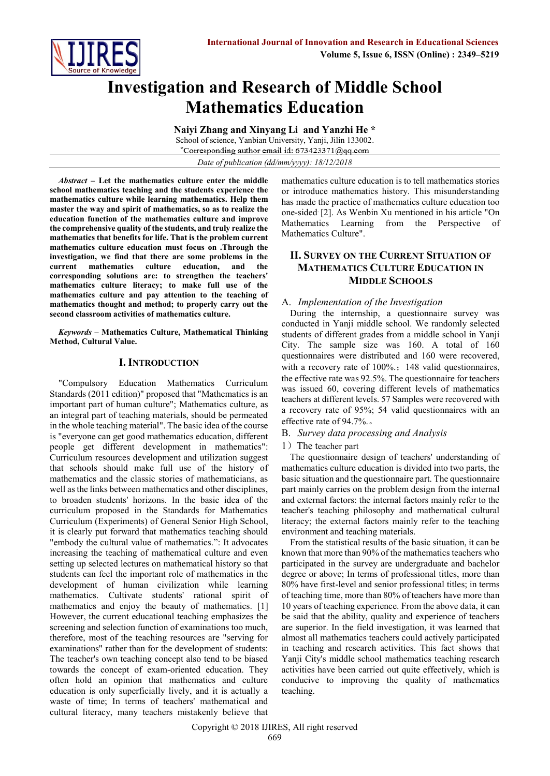

# **Investigation and Research of Middle School Mathematics Education**

**Naiyi Zhang and Xinyang Li and Yanzhi He \*** School of science, Yanbian University, Yanji, Jilin 133002. \*Corresponding author email id: 673423371@qq.com *Date of publication (dd/mm/yyyy): 18/12/2018*

*Abstract* **– Let the mathematics culture enter the middle school mathematics teaching and the students experience the mathematics culture while learning mathematics. Help them master the way and spirit of mathematics, so as to realize the education function of the mathematics culture and improve the comprehensive quality of the students, and truly realize the mathematics that benefits for life. That is the problem current mathematics culture education must focus on .Through the investigation, we find that there are some problems in the current mathematics culture education, and the corresponding solutions are: to strengthen the teachers' mathematics culture literacy; to make full use of the mathematics culture and pay attention to the teaching of mathematics thought and method; to properly carry out the second classroom activities of mathematics culture.**

*Keywords* **– Mathematics Culture, Mathematical Thinking Method, Cultural Value.**

## **I. INTRODUCTION**

"Compulsory Education Mathematics Curriculum Standards (2011 edition)" proposed that "Mathematics is an important part of human culture"; Mathematics culture, as an integral part of teaching materials, should be permeated in the whole teaching material". The basic idea of the course is "everyone can get good mathematics education, different people get different development in mathematics": Curriculum resources development and utilization suggest that schools should make full use of the history of mathematics and the classic stories of mathematicians, as well as the links between mathematics and other disciplines, to broaden students' horizons. In the basic idea of the curriculum proposed in the Standards for Mathematics Curriculum (Experiments) of General Senior High School, it is clearly put forward that mathematics teaching should "embody the cultural value of mathematics.": It advocates increasing the teaching of mathematical culture and even setting up selected lectures on mathematical history so that students can feel the important role of mathematics in the development of human civilization while learning mathematics. Cultivate students' rational spirit of mathematics and enjoy the beauty of mathematics. [1] However, the current educational teaching emphasizes the screening and selection function of examinations too much, therefore, most of the teaching resources are "serving for examinations" rather than for the development of students: The teacher's own teaching concept also tend to be biased towards the concept of exam-oriented education. They often hold an opinion that mathematics and culture education is only superficially lively, and it is actually a waste of time; In terms of teachers' mathematical and cultural literacy, many teachers mistakenly believe that mathematics culture education is to tell mathematics stories or introduce mathematics history. This misunderstanding has made the practice of mathematics culture education too one-sided. [2]. As Wenbin Xu mentioned in his article "On Mathematics Learning from the Perspective of Mathematics Culture".

## **II. SURVEY ON THE CURRENT SITUATION OF MATHEMATICS CULTURE EDUCATION IN MIDDLE SCHOOLS**

## A. *Implementation of the Investigation*

During the internship, a questionnaire survey was conducted in Yanji middle school. We randomly selected students of different grades from a middle school in Yanji City. The sample size was 160. A total of 160 questionnaires were distributed and 160 were recovered, with a recovery rate of 100%.; 148 valid questionnaires, the effective rate was 92.5%. The questionnaire for teachers was issued 60, covering different levels of mathematics teachers at different levels. 57 Samples were recovered with a recovery rate of 95%; 54 valid questionnaires with an effective rate of 94.7%.。

#### B. *Survey data processing and Analysis*

#### 1) The teacher part

The questionnaire design of teachers' understanding of mathematics culture education is divided into two parts, the basic situation and the questionnaire part. The questionnaire part mainly carries on the problem design from the internal and external factors: the internal factors mainly refer to the teacher's teaching philosophy and mathematical cultural literacy; the external factors mainly refer to the teaching environment and teaching materials.

From the statistical results of the basic situation, it can be known that more than 90% of the mathematics teachers who participated in the survey are undergraduate and bachelor degree or above; In terms of professional titles, more than 80% have first-level and senior professional titles; in terms of teaching time, more than 80% of teachers have more than 10 years of teaching experience. From the above data, it can be said that the ability, quality and experience of teachers are superior. In the field investigation, it was learned that almost all mathematics teachers could actively participated in teaching and research activities. This fact shows that Yanji City's middle school mathematics teaching research activities have been carried out quite effectively, which is conducive to improving the quality of mathematics teaching.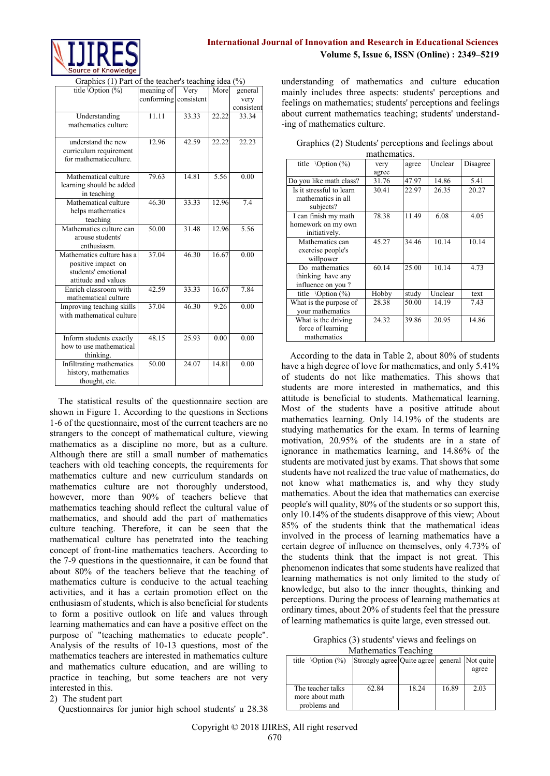

Graphics (1) Part of the teacher's teaching idea (%)

| title $\mathrm{Option}$ (%)              | meaning of | Very       | More  | general    |
|------------------------------------------|------------|------------|-------|------------|
|                                          | conforming | consistent |       | very       |
|                                          |            |            |       | consistent |
| Understanding                            | 11.11      | 33.33      | 22.22 | 33.34      |
| mathematics culture                      |            |            |       |            |
| understand the new                       | 12.96      | 42.59      | 22.22 | 22.23      |
| curriculum requirement                   |            |            |       |            |
| for mathematicculture.                   |            |            |       |            |
|                                          |            |            |       |            |
| Mathematical culture                     | 79.63      | 14.81      | 5.56  | 0.00       |
| learning should be added                 |            |            |       |            |
| in teaching                              |            |            |       |            |
| Mathematical culture                     | 46.30      | 33.33      | 12.96 | 7.4        |
| helps mathematics                        |            |            |       |            |
| teaching                                 |            |            |       |            |
| Mathematics culture can                  | 50.00      | 31.48      | 12.96 | 5.56       |
| arouse students'                         |            |            |       |            |
| enthusiasm.<br>Mathematics culture has a | 37.04      | 46.30      | 16.67 |            |
| positive impact on                       |            |            |       | 0.00       |
| students' emotional                      |            |            |       |            |
| attitude and values                      |            |            |       |            |
| Enrich classroom with                    | 42.59      | 33.33      | 16.67 | 7.84       |
| mathematical culture                     |            |            |       |            |
| Improving teaching skills                | 37.04      | 46.30      | 9.26  | 0.00       |
| with mathematical culture                |            |            |       |            |
|                                          |            |            |       |            |
| Inform students exactly                  | 48.15      | 25.93      | 0.00  | 0.00       |
| how to use mathematical                  |            |            |       |            |
| thinking.                                |            |            |       |            |
| Infiltrating mathematics                 | 50.00      | 24.07      | 14.81 | 0.00       |
| history, mathematics                     |            |            |       |            |
| thought, etc.                            |            |            |       |            |

The statistical results of the questionnaire section are shown in Figure 1. According to the questions in Sections 1-6 of the questionnaire, most of the current teachers are no strangers to the concept of mathematical culture, viewing mathematics as a discipline no more, but as a culture. Although there are still a small number of mathematics teachers with old teaching concepts, the requirements for mathematics culture and new curriculum standards on mathematics culture are not thoroughly understood, however, more than 90% of teachers believe that mathematics teaching should reflect the cultural value of mathematics, and should add the part of mathematics culture teaching. Therefore, it can be seen that the mathematical culture has penetrated into the teaching concept of front-line mathematics teachers. According to the 7-9 questions in the questionnaire, it can be found that about 80% of the teachers believe that the teaching of mathematics culture is conducive to the actual teaching activities, and it has a certain promotion effect on the enthusiasm of students, which is also beneficial for students to form a positive outlook on life and values through learning mathematics and can have a positive effect on the purpose of "teaching mathematics to educate people". Analysis of the results of 10-13 questions, most of the mathematics teachers are interested in mathematics culture and mathematics culture education, and are willing to practice in teaching, but some teachers are not very interested in this.

2) The student part

Questionnaires for junior high school students' u 28.38

understanding of mathematics and culture education mainly includes three aspects: students' perceptions and feelings on mathematics; students' perceptions and feelings about current mathematics teaching; students' understand- -ing of mathematics culture.

| Graphics (2) Students' perceptions and feelings about |             |  |  |
|-------------------------------------------------------|-------------|--|--|
|                                                       | mathematics |  |  |

| title $\mathrm{Option}$ (%) | very  | agree | Unclear | Disagree |  |
|-----------------------------|-------|-------|---------|----------|--|
|                             | agree |       |         |          |  |
| Do you like math class?     | 31.76 | 47.97 | 14.86   | 5.41     |  |
| Is it stressful to learn    | 30.41 | 22.97 | 26.35   | 20.27    |  |
| mathematics in all          |       |       |         |          |  |
| subjects?                   |       |       |         |          |  |
| I can finish my math        | 78.38 | 11.49 | 6.08    | 4.05     |  |
| homework on my own          |       |       |         |          |  |
| initiatively.               |       |       |         |          |  |
| Mathematics can             | 45.27 | 34.46 | 10.14   | 10.14    |  |
| exercise people's           |       |       |         |          |  |
| willpower                   |       |       |         |          |  |
| Do mathematics              | 60.14 | 25.00 | 10.14   | 4.73     |  |
| thinking have any           |       |       |         |          |  |
| influence on you?           |       |       |         |          |  |
| title $\mathrm{Option}$ (%) | Hobby | study | Unclear | text     |  |
| What is the purpose of      | 28.38 | 50.00 | 14.19   | 7.43     |  |
| vour mathematics            |       |       |         |          |  |
| What is the driving         | 24.32 | 39.86 | 20.95   | 14.86    |  |
| force of learning           |       |       |         |          |  |
| mathematics                 |       |       |         |          |  |
|                             |       |       |         |          |  |

According to the data in Table 2, about 80% of students have a high degree of love for mathematics, and only 5.41% of students do not like mathematics. This shows that students are more interested in mathematics, and this attitude is beneficial to students. Mathematical learning. Most of the students have a positive attitude about mathematics learning. Only 14.19% of the students are studying mathematics for the exam. In terms of learning motivation, 20.95% of the students are in a state of ignorance in mathematics learning, and 14.86% of the students are motivated just by exams. That shows that some students have not realized the true value of mathematics, do not know what mathematics is, and why they study mathematics. About the idea that mathematics can exercise people's will quality, 80% of the students or so support this, only 10.14% of the students disapprove of this view; About 85% of the students think that the mathematical ideas involved in the process of learning mathematics have a certain degree of influence on themselves, only 4.73% of the students think that the impact is not great. This phenomenon indicates that some students have realized that learning mathematics is not only limited to the study of knowledge, but also to the inner thoughts, thinking and perceptions. During the process of learning mathematics at ordinary times, about 20% of students feel that the pressure of learning mathematics is quite large, even stressed out.

Graphics (3) students' views and feelings on

Mathematics Teaching

| title $\mathrm{Option}($ %)                          | Strongly agree Quite agree general Not quite |       |       |       |
|------------------------------------------------------|----------------------------------------------|-------|-------|-------|
|                                                      |                                              |       |       | agree |
|                                                      |                                              |       |       |       |
| The teacher talks<br>more about math<br>problems and | 62.84                                        | 18.24 | 16.89 | 2.03  |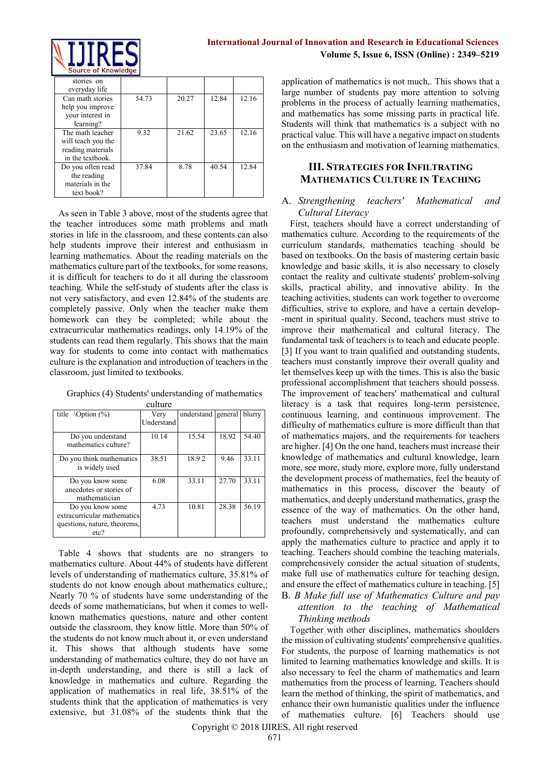

| stories on<br>everyday life                                                     |       |       |       |       |
|---------------------------------------------------------------------------------|-------|-------|-------|-------|
| Can math stories<br>help you improve<br>vour interest in<br>learning?           | 54.73 | 20.27 | 12.84 | 12.16 |
| The math teacher<br>will teach you the<br>reading materials<br>in the textbook. | 9.32  | 21.62 | 23.65 | 12.16 |
| Do you often read<br>the reading<br>materials in the<br>text book?              | 37.84 | 8.78  | 40.54 | 12.84 |

As seen in Table 3 above, most of the students agree that the teacher introduces some math problems and math stories in life in the classroom, and these contents can also help students improve their interest and enthusiasm in learning mathematics. About the reading materials on the mathematics culture part of the textbooks, for some reasons, it is difficult for teachers to do it all during the classroom teaching. While the self-study of students after the class is not very satisfactory, and even 12.84% of the students are completely passive. Only when the teacher make them homework can they be completed; while about the extracurricular mathematics readings, only 14.19% of the students can read them regularly. This shows that the main way for students to come into contact with mathematics culture is the explanation and introduction of teachers in the classroom, just limited to textbooks.

|  | Graphics (4) Students' understanding of mathematics |
|--|-----------------------------------------------------|
|  |                                                     |

| title $\mathrm{Option}$ (%)                                                             | Very              | understand | general | blurry |
|-----------------------------------------------------------------------------------------|-------------------|------------|---------|--------|
|                                                                                         | <b>Understand</b> |            |         |        |
| Do you understand<br>mathematics culture?                                               | 10.14             | 15.54      | 18.92   | 54.40  |
| Do you think mathematics<br>is widely used                                              | 38.51             | 18.92      | 9.46    | 33.11  |
| Do you know some<br>anecdotes or stories of<br>mathematician                            | 6.08              | 33.11      | 27.70   | 33.11  |
| Do you know some<br>extracurricular mathematics<br>questions, nature, theorems,<br>etc? | 4.73              | 10.81      | 28.38   | 56.19  |

Table 4 shows that students are no strangers to mathematics culture. About 44% of students have different levels of understanding of mathematics culture, 35.81% of students do not know enough about mathematics culture,; Nearly 70 % of students have some understanding of the deeds of some mathematicians, but when it comes to wellknown mathematics questions, nature and other content outside the classroom, they know little. More than 50% of the students do not know much about it, or even understand it. This shows that although students have some understanding of mathematics culture, they do not have an in-depth understanding, and there is still a lack of knowledge in mathematics and culture. Regarding the application of mathematics in real life, 38.51% of the students think that the application of mathematics is very extensive, but 31.08% of the students think that the

application of mathematics is not much,. This shows that a large number of students pay more attention to solving problems in the process of actually learning mathematics, and mathematics has some missing parts in practical life. Students will think that mathematics is a subject with no practical value. This will have a negative impact on students on the enthusiasm and motivation of learning mathematics.

## **III. STRATEGIES FOR INFILTRATING MATHEMATICS CULTURE IN TEACHING**

### A. *Strengthening teachers' Mathematical and Cultural Literacy*

First, teachers should have a correct understanding of mathematics culture. According to the requirements of the curriculum standards, mathematics teaching should be based on textbooks. On the basis of mastering certain basic knowledge and basic skills, it is also necessary to closely contact the reality and cultivate students' problem-solving skills, practical ability, and innovative ability. In the teaching activities, students can work together to overcome difficulties, strive to explore, and have a certain develop- -ment in spiritual quality. Second, teachers must strive to improve their mathematical and cultural literacy. The fundamental task of teachers is to teach and educate people. [3] If you want to train qualified and outstanding students, teachers must constantly improve their overall quality and let themselves keep up with the times. This is also the basic professional accomplishment that teachers should possess. The improvement of teachers' mathematical and cultural literacy is a task that requires long-term persistence, continuous learning, and continuous improvement. The difficulty of mathematics culture is more difficult than that of mathematics majors, and the requirements for teachers are higher. [4] On the one hand, teachers must increase their knowledge of mathematics and cultural knowledge, learn more, see more, study more, explore more, fully understand the development process of mathematics, feel the beauty of mathematics in this process, discover the beauty of mathematics, and deeply understand mathematics, grasp the essence of the way of mathematics. On the other hand, teachers must understand the mathematics culture profoundly, comprehensively and systematically, and can apply the mathematics culture to practice and apply it to teaching. Teachers should combine the teaching materials, comprehensively consider the actual situation of students, make full use of mathematics culture for teaching design, and ensure the effect of mathematics culture in teaching. [5] B. *B Make full use of Mathematics Culture and pay attention to the teaching of Mathematical* 

*Thinking methods*

Together with other disciplines, mathematics shoulders the mission of cultivating students' comprehensive qualities. For students, the purpose of learning mathematics is not limited to learning mathematics knowledge and skills. It is also necessary to feel the charm of mathematics and learn mathematics from the process of learning. Teachers should learn the method of thinking, the spirit of mathematics, and enhance their own humanistic qualities under the influence of mathematics culture. [6] Teachers should use

Copyright © 2018 IJIRES, All right reserved